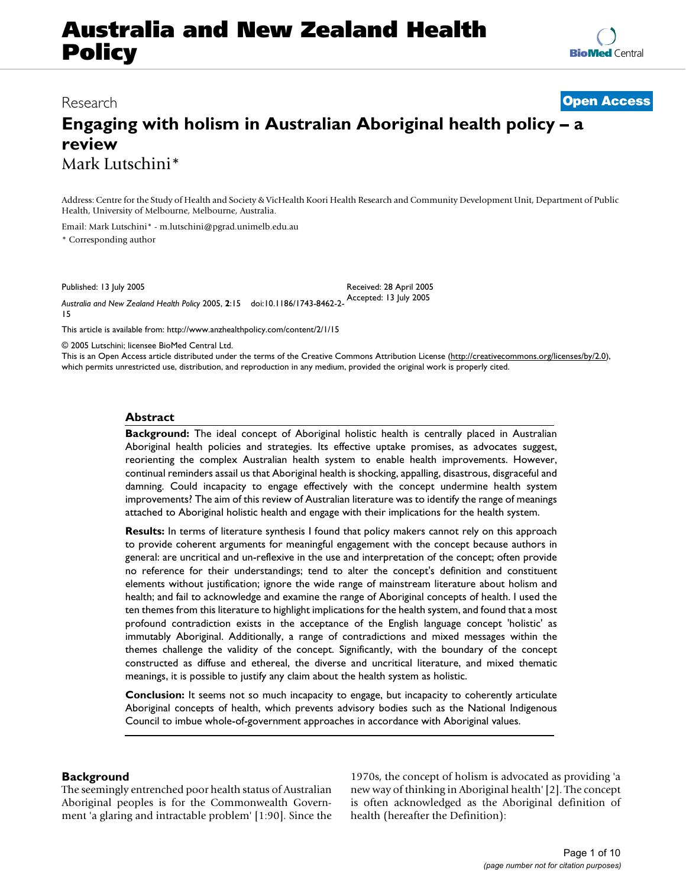# **Australia and New Zealand Health Policy**

**[BioMed](http://www.biomedcentral.com/)** Central

# **Engaging with holism in Australian Aboriginal health policy – a review** Mark Lutschini\*

Address: Centre for the Study of Health and Society & VicHealth Koori Health Research and Community Development Unit, Department of Public Health, University of Melbourne, Melbourne, Australia.

Received: 28 April 2005

Email: Mark Lutschini\* - m.lutschini@pgrad.unimelb.edu.au \* Corresponding author

Published: 13 July 2005

*Australia and New Zealand Health Policy* 2005, **2**:15 doi:10.1186/1743-8462-2- Accepted: 13 July 2005 15

[This article is available from: http://www.anzhealthpolicy.com/content/2/1/15](http://www.anzhealthpolicy.com/content/2/1/15)

© 2005 Lutschini; licensee BioMed Central Ltd.

This is an Open Access article distributed under the terms of the Creative Commons Attribution License [\(http://creativecommons.org/licenses/by/2.0\)](http://creativecommons.org/licenses/by/2.0), which permits unrestricted use, distribution, and reproduction in any medium, provided the original work is properly cited.

# **Abstract**

**Background:** The ideal concept of Aboriginal holistic health is centrally placed in Australian Aboriginal health policies and strategies. Its effective uptake promises, as advocates suggest, reorienting the complex Australian health system to enable health improvements. However, continual reminders assail us that Aboriginal health is shocking, appalling, disastrous, disgraceful and damning. Could incapacity to engage effectively with the concept undermine health system improvements? The aim of this review of Australian literature was to identify the range of meanings attached to Aboriginal holistic health and engage with their implications for the health system.

**Results:** In terms of literature synthesis I found that policy makers cannot rely on this approach to provide coherent arguments for meaningful engagement with the concept because authors in general: are uncritical and un-reflexive in the use and interpretation of the concept; often provide no reference for their understandings; tend to alter the concept's definition and constituent elements without justification; ignore the wide range of mainstream literature about holism and health; and fail to acknowledge and examine the range of Aboriginal concepts of health. I used the ten themes from this literature to highlight implications for the health system, and found that a most profound contradiction exists in the acceptance of the English language concept 'holistic' as immutably Aboriginal. Additionally, a range of contradictions and mixed messages within the themes challenge the validity of the concept. Significantly, with the boundary of the concept constructed as diffuse and ethereal, the diverse and uncritical literature, and mixed thematic meanings, it is possible to justify any claim about the health system as holistic.

**Conclusion:** It seems not so much incapacity to engage, but incapacity to coherently articulate Aboriginal concepts of health, which prevents advisory bodies such as the National Indigenous Council to imbue whole-of-government approaches in accordance with Aboriginal values.

# **Background**

The seemingly entrenched poor health status of Australian Aboriginal peoples is for the Commonwealth Government 'a glaring and intractable problem' [1:90]. Since the

1970s, the concept of holism is advocated as providing 'a new way of thinking in Aboriginal health' [2]. The concept is often acknowledged as the Aboriginal definition of health (hereafter the Definition):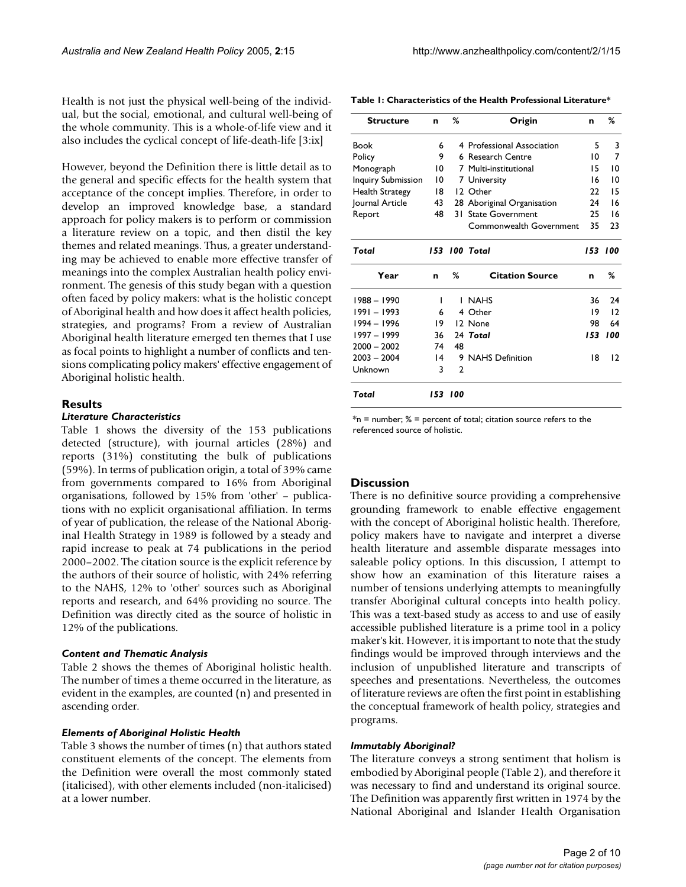Health is not just the physical well-being of the individual, but the social, emotional, and cultural well-being of the whole community. This is a whole-of-life view and it also includes the cyclical concept of life-death-life [3:ix]

However, beyond the Definition there is little detail as to the general and specific effects for the health system that acceptance of the concept implies. Therefore, in order to develop an improved knowledge base, a standard approach for policy makers is to perform or commission a literature review on a topic, and then distil the key themes and related meanings. Thus, a greater understanding may be achieved to enable more effective transfer of meanings into the complex Australian health policy environment. The genesis of this study began with a question often faced by policy makers: what is the holistic concept of Aboriginal health and how does it affect health policies, strategies, and programs? From a review of Australian Aboriginal health literature emerged ten themes that I use as focal points to highlight a number of conflicts and tensions complicating policy makers' effective engagement of Aboriginal holistic health.

# **Results**

### *Literature Characteristics*

Table 1 shows the diversity of the 153 publications detected (structure), with journal articles (28%) and reports (31%) constituting the bulk of publications (59%). In terms of publication origin, a total of 39% came from governments compared to 16% from Aboriginal organisations, followed by 15% from 'other' – publications with no explicit organisational affiliation. In terms of year of publication, the release of the National Aboriginal Health Strategy in 1989 is followed by a steady and rapid increase to peak at 74 publications in the period 2000–2002. The citation source is the explicit reference by the authors of their source of holistic, with 24% referring to the NAHS, 12% to 'other' sources such as Aboriginal reports and research, and 64% providing no source. The Definition was directly cited as the source of holistic in 12% of the publications.

# *Content and Thematic Analysis*

Table 2 shows the themes of Aboriginal holistic health. The number of times a theme occurred in the literature, as evident in the examples, are counted (n) and presented in ascending order.

#### *Elements of Aboriginal Holistic Health*

Table 3 shows the number of times (n) that authors stated constituent elements of the concept. The elements from the Definition were overall the most commonly stated (italicised), with other elements included (non-italicised) at a lower number.

**Table 1: Characteristics of the Health Professional Literature\***

| <b>Structure</b>          | n               | %       | Origin                     | n   | %       |
|---------------------------|-----------------|---------|----------------------------|-----|---------|
| Book                      | 6               |         | 4 Professional Association | 5   | 3       |
| Policy                    | 9               |         | 6 Research Centre          | 10  | 7       |
| Monograph                 | 10              |         | 7 Multi-institutional      | 15  | 10      |
| <b>Inquiry Submission</b> | 10              |         | 7 University               | 16  | 10      |
| <b>Health Strategy</b>    | 18              |         | 12 Other                   | 22  | 15      |
| Journal Article           | 43              |         | 28 Aboriginal Organisation | 24  | 16      |
| Report                    | 48              |         | 31 State Government        | 25  | 16      |
|                           |                 |         | Commonwealth Government    | 35  | 23      |
| Total                     |                 |         | 153 100 Total              |     | 153 100 |
| Year                      | n               | %       | <b>Citation Source</b>     | n   | ℅       |
| $1988 - 1990$             | ı               |         | I NAHS                     | 36  | 24      |
| 1991 – 1993               | 6               |         | 4 Other                    | 19  | 12      |
| 1994 – 1996               | 19              |         | 12 None                    | 98  | 64      |
| $1997 - 1999$             | 36              |         | 24 Total                   | 153 | 100     |
| $2000 - 2002$             | 74              | 48      |                            |     |         |
| $2003 - 2004$             | $\overline{14}$ |         | 9 NAHS Definition          | 18  | 12      |
| Unknown                   | 3               | 2       |                            |     |         |
| Total                     |                 | 153 100 |                            |     |         |

 $*$ n = number; % = percent of total; citation source refers to the referenced source of holistic.

## **Discussion**

There is no definitive source providing a comprehensive grounding framework to enable effective engagement with the concept of Aboriginal holistic health. Therefore, policy makers have to navigate and interpret a diverse health literature and assemble disparate messages into saleable policy options. In this discussion, I attempt to show how an examination of this literature raises a number of tensions underlying attempts to meaningfully transfer Aboriginal cultural concepts into health policy. This was a text-based study as access to and use of easily accessible published literature is a prime tool in a policy maker's kit. However, it is important to note that the study findings would be improved through interviews and the inclusion of unpublished literature and transcripts of speeches and presentations. Nevertheless, the outcomes of literature reviews are often the first point in establishing the conceptual framework of health policy, strategies and programs.

#### *Immutably Aboriginal?*

The literature conveys a strong sentiment that holism is embodied by Aboriginal people (Table 2), and therefore it was necessary to find and understand its original source. The Definition was apparently first written in 1974 by the National Aboriginal and Islander Health Organisation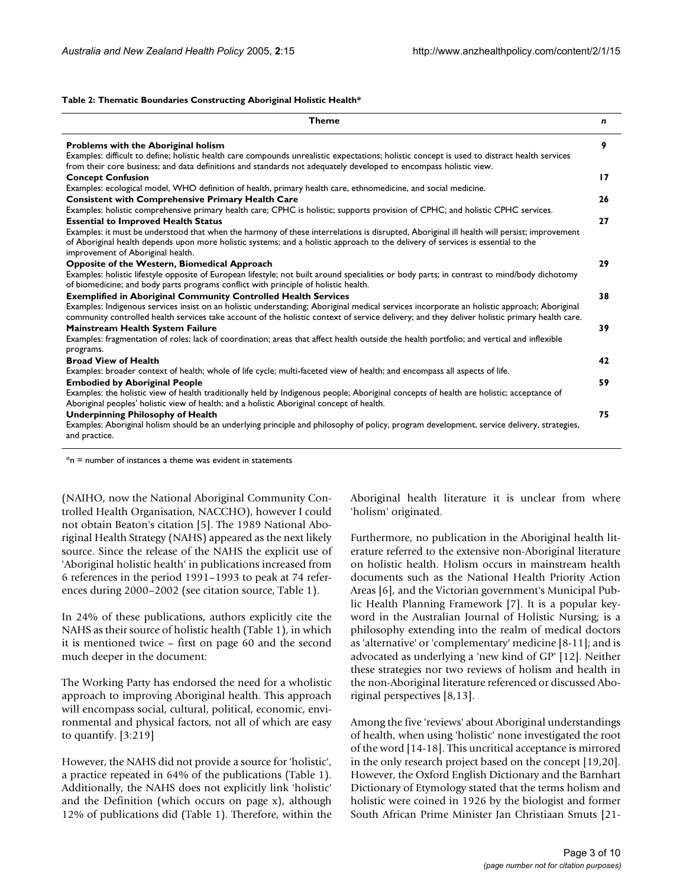### **Table 2: Thematic Boundaries Constructing Aboriginal Holistic Health\***

| <b>Theme</b>                                                                                                                                                                                                                                                                                                         | n               |
|----------------------------------------------------------------------------------------------------------------------------------------------------------------------------------------------------------------------------------------------------------------------------------------------------------------------|-----------------|
| <b>Problems with the Aboriginal holism</b><br>Examples: difficult to define; holistic health care compounds unrealistic expectations; holistic concept is used to distract health services<br>from their core business; and data definitions and standards not adequately developed to encompass holistic view.      | 9               |
| <b>Concept Confusion</b>                                                                                                                                                                                                                                                                                             | $\overline{17}$ |
| Examples: ecological model, WHO definition of health, primary health care, ethnomedicine, and social medicine.                                                                                                                                                                                                       |                 |
| <b>Consistent with Comprehensive Primary Health Care</b>                                                                                                                                                                                                                                                             | 26              |
| Examples: holistic comprehensive primary health care; CPHC is holistic; supports provision of CPHC; and holistic CPHC services.                                                                                                                                                                                      |                 |
| <b>Essential to Improved Health Status</b>                                                                                                                                                                                                                                                                           | 27              |
| Examples: it must be understood that when the harmony of these interrelations is disrupted, Aboriginal ill health will persist; improvement<br>of Aboriginal health depends upon more holistic systems; and a holistic approach to the delivery of services is essential to the<br>improvement of Aboriginal health. |                 |
| <b>Opposite of the Western, Biomedical Approach</b>                                                                                                                                                                                                                                                                  | 29              |
| Examples: holistic lifestyle opposite of European lifestyle; not built around specialities or body parts; in contrast to mind/body dichotomy<br>of biomedicine; and body parts programs conflict with principle of holistic health.                                                                                  |                 |
| <b>Exemplified in Aboriginal Community Controlled Health Services</b>                                                                                                                                                                                                                                                | 38              |
| Examples: Indigenous services insist on an holistic understanding; Aboriginal medical services incorporate an holistic approach; Aboriginal<br>community controlled health services take account of the holistic context of service delivery; and they deliver holistic primary health care.                         |                 |
| Mainstream Health System Failure                                                                                                                                                                                                                                                                                     | 39              |
| Examples: fragmentation of roles; lack of coordination; areas that affect health outside the health portfolio; and vertical and inflexible<br>programs.                                                                                                                                                              |                 |
| <b>Broad View of Health</b>                                                                                                                                                                                                                                                                                          | 42              |
| Examples: broader context of health; whole of life cycle; multi-faceted view of health; and encompass all aspects of life.                                                                                                                                                                                           |                 |
| <b>Embodied by Aboriginal People</b>                                                                                                                                                                                                                                                                                 | 59              |
| Examples: the holistic view of health traditionally held by Indigenous people; Aboriginal concepts of health are holistic; acceptance of<br>Aboriginal peoples' holistic view of health; and a holistic Aboriginal concept of health.                                                                                |                 |
| <b>Underpinning Philosophy of Health</b>                                                                                                                                                                                                                                                                             | 75              |
| Examples: Aboriginal holism should be an underlying principle and philosophy of policy, program development, service delivery, strategies,<br>and practice.                                                                                                                                                          |                 |
|                                                                                                                                                                                                                                                                                                                      |                 |

 $*$ n = number of instances a theme was evident in statements

(NAIHO, now the National Aboriginal Community Controlled Health Organisation, NACCHO), however I could not obtain Beaton's citation [5]. The 1989 National Aboriginal Health Strategy (NAHS) appeared as the next likely source. Since the release of the NAHS the explicit use of 'Aboriginal holistic health' in publications increased from 6 references in the period 1991–1993 to peak at 74 references during 2000–2002 (see citation source, Table 1).

In 24% of these publications, authors explicitly cite the NAHS as their source of holistic health (Table 1), in which it is mentioned twice – first on page 60 and the second much deeper in the document:

The Working Party has endorsed the need for a wholistic approach to improving Aboriginal health. This approach will encompass social, cultural, political, economic, environmental and physical factors, not all of which are easy to quantify. [3:219]

However, the NAHS did not provide a source for 'holistic', a practice repeated in 64% of the publications (Table 1). Additionally, the NAHS does not explicitly link 'holistic' and the Definition (which occurs on page x), although 12% of publications did (Table 1). Therefore, within the

Aboriginal health literature it is unclear from where 'holism' originated.

Furthermore, no publication in the Aboriginal health literature referred to the extensive non-Aboriginal literature on holistic health. Holism occurs in mainstream health documents such as the National Health Priority Action Areas [6], and the Victorian government's Municipal Public Health Planning Framework [7]. It is a popular keyword in the Australian Journal of Holistic Nursing; is a philosophy extending into the realm of medical doctors as 'alternative' or 'complementary' medicine [8-11]; and is advocated as underlying a 'new kind of GP' [12]. Neither these strategies nor two reviews of holism and health in the non-Aboriginal literature referenced or discussed Aboriginal perspectives [8,13].

Among the five 'reviews' about Aboriginal understandings of health, when using 'holistic' none investigated the root of the word [14-18]. This uncritical acceptance is mirrored in the only research project based on the concept [19,20]. However, the Oxford English Dictionary and the Barnhart Dictionary of Etymology stated that the terms holism and holistic were coined in 1926 by the biologist and former South African Prime Minister Jan Christiaan Smuts [21-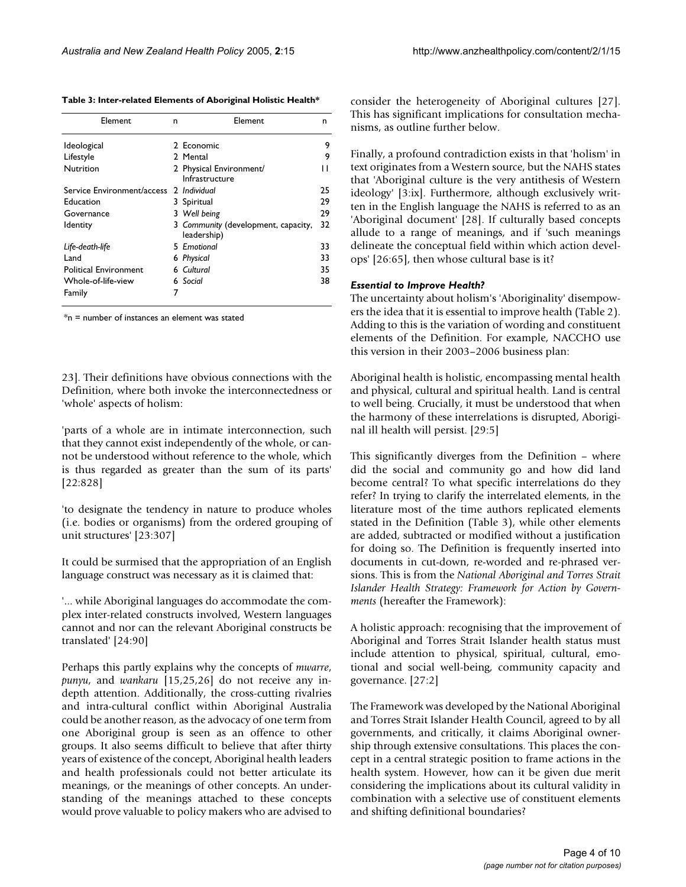**Table 3: Inter-related Elements of Aboriginal Holistic Health\***

| Element                      | n | Element                                            | n  |
|------------------------------|---|----------------------------------------------------|----|
| <b>Ideological</b>           |   | 2 Economic                                         | 9  |
| Lifestyle                    |   | 2 Mental                                           | 9  |
| Nutrition                    |   | 2 Physical Environment/<br>Infrastructure          | н  |
| Service Environment/access   |   | 2 Individual                                       | 25 |
| Education                    |   | 3 Spiritual                                        | 29 |
| Governance                   |   | 3 Well being                                       | 29 |
| ldentity                     |   | 3 Community (development, capacity,<br>leadership) | 32 |
| Life-death-life              |   | 5 Emotional                                        | 33 |
| Land                         |   | 6 Physical                                         | 33 |
| <b>Political Environment</b> |   | 6 Cultural                                         | 35 |
| Whole-of-life-view           |   | 6 Social                                           | 38 |
| Family                       | 7 |                                                    |    |

\*n = number of instances an element was stated

23]. Their definitions have obvious connections with the Definition, where both invoke the interconnectedness or 'whole' aspects of holism:

'parts of a whole are in intimate interconnection, such that they cannot exist independently of the whole, or cannot be understood without reference to the whole, which is thus regarded as greater than the sum of its parts' [22:828]

'to designate the tendency in nature to produce wholes (i.e. bodies or organisms) from the ordered grouping of unit structures' [23:307]

It could be surmised that the appropriation of an English language construct was necessary as it is claimed that:

'... while Aboriginal languages do accommodate the complex inter-related constructs involved, Western languages cannot and nor can the relevant Aboriginal constructs be translated' [24:90]

Perhaps this partly explains why the concepts of *mwarre*, *punyu*, and *wankaru* [15,25,26] do not receive any indepth attention. Additionally, the cross-cutting rivalries and intra-cultural conflict within Aboriginal Australia could be another reason, as the advocacy of one term from one Aboriginal group is seen as an offence to other groups. It also seems difficult to believe that after thirty years of existence of the concept, Aboriginal health leaders and health professionals could not better articulate its meanings, or the meanings of other concepts. An understanding of the meanings attached to these concepts would prove valuable to policy makers who are advised to consider the heterogeneity of Aboriginal cultures [27]. This has significant implications for consultation mechanisms, as outline further below.

Finally, a profound contradiction exists in that 'holism' in text originates from a Western source, but the NAHS states that 'Aboriginal culture is the very antithesis of Western ideology' [3:ix]. Furthermore, although exclusively written in the English language the NAHS is referred to as an 'Aboriginal document' [28]. If culturally based concepts allude to a range of meanings, and if 'such meanings delineate the conceptual field within which action develops' [26:65], then whose cultural base is it?

# *Essential to Improve Health?*

The uncertainty about holism's 'Aboriginality' disempowers the idea that it is essential to improve health (Table 2). Adding to this is the variation of wording and constituent elements of the Definition. For example, NACCHO use this version in their 2003–2006 business plan:

Aboriginal health is holistic, encompassing mental health and physical, cultural and spiritual health. Land is central to well being. Crucially, it must be understood that when the harmony of these interrelations is disrupted, Aboriginal ill health will persist. [29:5]

This significantly diverges from the Definition – where did the social and community go and how did land become central? To what specific interrelations do they refer? In trying to clarify the interrelated elements, in the literature most of the time authors replicated elements stated in the Definition (Table 3), while other elements are added, subtracted or modified without a justification for doing so. The Definition is frequently inserted into documents in cut-down, re-worded and re-phrased versions. This is from the *National Aboriginal and Torres Strait Islander Health Strategy: Framework for Action by Governments* (hereafter the Framework):

A holistic approach: recognising that the improvement of Aboriginal and Torres Strait Islander health status must include attention to physical, spiritual, cultural, emotional and social well-being, community capacity and governance. [27:2]

The Framework was developed by the National Aboriginal and Torres Strait Islander Health Council, agreed to by all governments, and critically, it claims Aboriginal ownership through extensive consultations. This places the concept in a central strategic position to frame actions in the health system. However, how can it be given due merit considering the implications about its cultural validity in combination with a selective use of constituent elements and shifting definitional boundaries?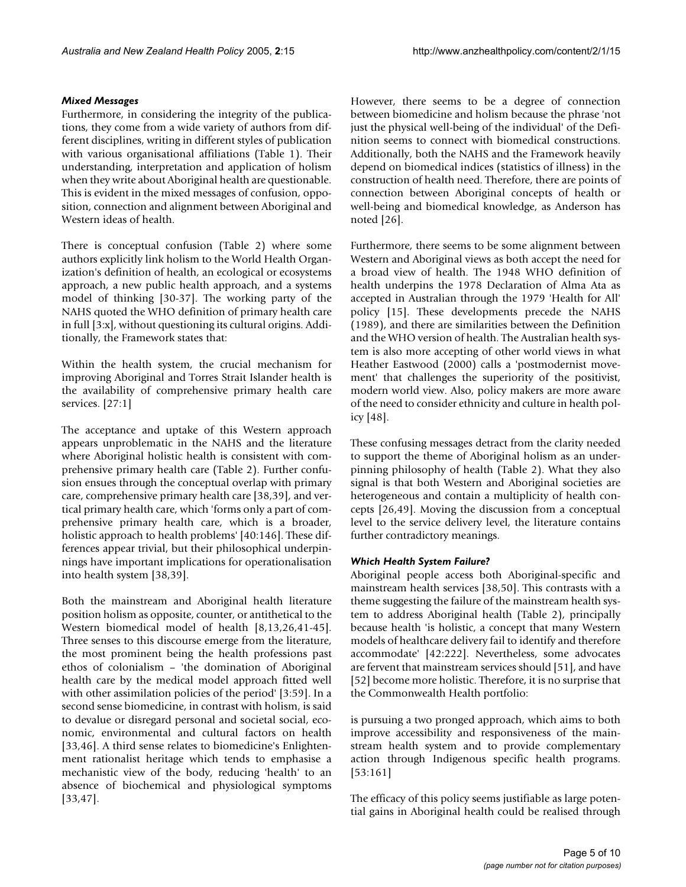# *Mixed Messages*

Furthermore, in considering the integrity of the publications, they come from a wide variety of authors from different disciplines, writing in different styles of publication with various organisational affiliations (Table 1). Their understanding, interpretation and application of holism when they write about Aboriginal health are questionable. This is evident in the mixed messages of confusion, opposition, connection and alignment between Aboriginal and Western ideas of health.

There is conceptual confusion (Table 2) where some authors explicitly link holism to the World Health Organization's definition of health, an ecological or ecosystems approach, a new public health approach, and a systems model of thinking [30-37]. The working party of the NAHS quoted the WHO definition of primary health care in full [3:x], without questioning its cultural origins. Additionally, the Framework states that:

Within the health system, the crucial mechanism for improving Aboriginal and Torres Strait Islander health is the availability of comprehensive primary health care services. [27:1]

The acceptance and uptake of this Western approach appears unproblematic in the NAHS and the literature where Aboriginal holistic health is consistent with comprehensive primary health care (Table 2). Further confusion ensues through the conceptual overlap with primary care, comprehensive primary health care [38,39], and vertical primary health care, which 'forms only a part of comprehensive primary health care, which is a broader, holistic approach to health problems' [40:146]. These differences appear trivial, but their philosophical underpinnings have important implications for operationalisation into health system [38,39].

Both the mainstream and Aboriginal health literature position holism as opposite, counter, or antithetical to the Western biomedical model of health [8,13,26,41-45]. Three senses to this discourse emerge from the literature, the most prominent being the health professions past ethos of colonialism – 'the domination of Aboriginal health care by the medical model approach fitted well with other assimilation policies of the period' [3:59]. In a second sense biomedicine, in contrast with holism, is said to devalue or disregard personal and societal social, economic, environmental and cultural factors on health [33,46]. A third sense relates to biomedicine's Enlightenment rationalist heritage which tends to emphasise a mechanistic view of the body, reducing 'health' to an absence of biochemical and physiological symptoms [33,47].

However, there seems to be a degree of connection between biomedicine and holism because the phrase 'not just the physical well-being of the individual' of the Definition seems to connect with biomedical constructions. Additionally, both the NAHS and the Framework heavily depend on biomedical indices (statistics of illness) in the construction of health need. Therefore, there are points of connection between Aboriginal concepts of health or well-being and biomedical knowledge, as Anderson has noted [26].

Furthermore, there seems to be some alignment between Western and Aboriginal views as both accept the need for a broad view of health. The 1948 WHO definition of health underpins the 1978 Declaration of Alma Ata as accepted in Australian through the 1979 'Health for All' policy [15]. These developments precede the NAHS (1989), and there are similarities between the Definition and the WHO version of health. The Australian health system is also more accepting of other world views in what Heather Eastwood (2000) calls a 'postmodernist movement' that challenges the superiority of the positivist, modern world view. Also, policy makers are more aware of the need to consider ethnicity and culture in health policy [48].

These confusing messages detract from the clarity needed to support the theme of Aboriginal holism as an underpinning philosophy of health (Table 2). What they also signal is that both Western and Aboriginal societies are heterogeneous and contain a multiplicity of health concepts [26,49]. Moving the discussion from a conceptual level to the service delivery level, the literature contains further contradictory meanings.

# *Which Health System Failure?*

Aboriginal people access both Aboriginal-specific and mainstream health services [38,50]. This contrasts with a theme suggesting the failure of the mainstream health system to address Aboriginal health (Table 2), principally because health 'is holistic, a concept that many Western models of healthcare delivery fail to identify and therefore accommodate' [42:222]. Nevertheless, some advocates are fervent that mainstream services should [51], and have [52] become more holistic. Therefore, it is no surprise that the Commonwealth Health portfolio:

is pursuing a two pronged approach, which aims to both improve accessibility and responsiveness of the mainstream health system and to provide complementary action through Indigenous specific health programs. [53:161]

The efficacy of this policy seems justifiable as large potential gains in Aboriginal health could be realised through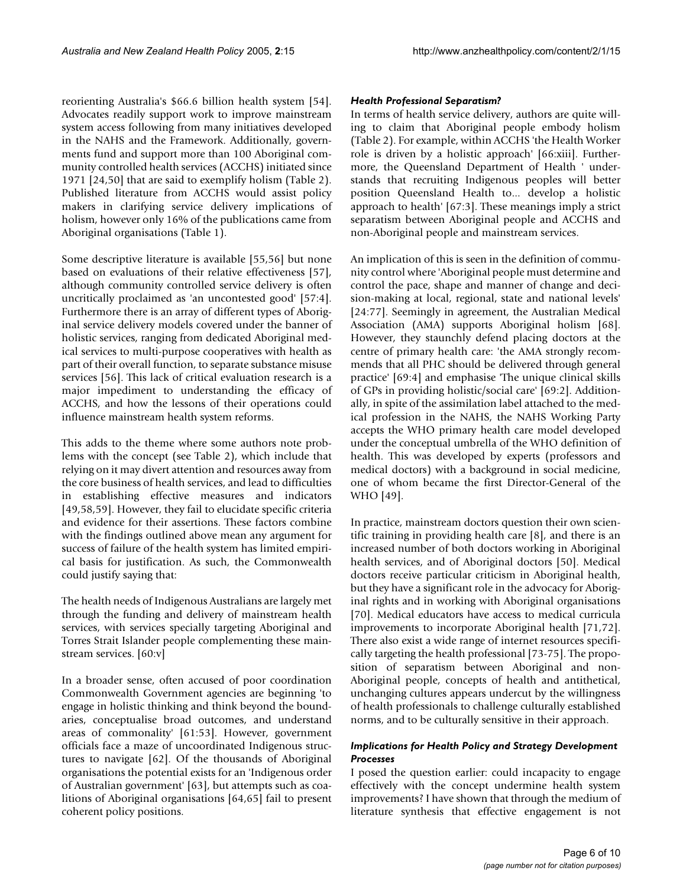reorienting Australia's \$66.6 billion health system [54]. Advocates readily support work to improve mainstream system access following from many initiatives developed in the NAHS and the Framework. Additionally, governments fund and support more than 100 Aboriginal community controlled health services (ACCHS) initiated since 1971 [24,50] that are said to exemplify holism (Table 2). Published literature from ACCHS would assist policy makers in clarifying service delivery implications of holism, however only 16% of the publications came from Aboriginal organisations (Table 1).

Some descriptive literature is available [55,56] but none based on evaluations of their relative effectiveness [57], although community controlled service delivery is often uncritically proclaimed as 'an uncontested good' [57:4]. Furthermore there is an array of different types of Aboriginal service delivery models covered under the banner of holistic services, ranging from dedicated Aboriginal medical services to multi-purpose cooperatives with health as part of their overall function, to separate substance misuse services [56]. This lack of critical evaluation research is a major impediment to understanding the efficacy of ACCHS, and how the lessons of their operations could influence mainstream health system reforms.

This adds to the theme where some authors note problems with the concept (see Table 2), which include that relying on it may divert attention and resources away from the core business of health services, and lead to difficulties in establishing effective measures and indicators [49,58,59]. However, they fail to elucidate specific criteria and evidence for their assertions. These factors combine with the findings outlined above mean any argument for success of failure of the health system has limited empirical basis for justification. As such, the Commonwealth could justify saying that:

The health needs of Indigenous Australians are largely met through the funding and delivery of mainstream health services, with services specially targeting Aboriginal and Torres Strait Islander people complementing these mainstream services. [60:v]

In a broader sense, often accused of poor coordination Commonwealth Government agencies are beginning 'to engage in holistic thinking and think beyond the boundaries, conceptualise broad outcomes, and understand areas of commonality' [61:53]. However, government officials face a maze of uncoordinated Indigenous structures to navigate [62]. Of the thousands of Aboriginal organisations the potential exists for an 'Indigenous order of Australian government' [63], but attempts such as coalitions of Aboriginal organisations [64,65] fail to present coherent policy positions.

# *Health Professional Separatism?*

In terms of health service delivery, authors are quite willing to claim that Aboriginal people embody holism (Table 2). For example, within ACCHS 'the Health Worker role is driven by a holistic approach' [66:xiii]. Furthermore, the Queensland Department of Health ' understands that recruiting Indigenous peoples will better position Queensland Health to... develop a holistic approach to health' [67:3]. These meanings imply a strict separatism between Aboriginal people and ACCHS and non-Aboriginal people and mainstream services.

An implication of this is seen in the definition of community control where 'Aboriginal people must determine and control the pace, shape and manner of change and decision-making at local, regional, state and national levels' [24:77]. Seemingly in agreement, the Australian Medical Association (AMA) supports Aboriginal holism [68]. However, they staunchly defend placing doctors at the centre of primary health care: 'the AMA strongly recommends that all PHC should be delivered through general practice' [69:4] and emphasise 'The unique clinical skills of GPs in providing holistic/social care' [69:2]. Additionally, in spite of the assimilation label attached to the medical profession in the NAHS, the NAHS Working Party accepts the WHO primary health care model developed under the conceptual umbrella of the WHO definition of health. This was developed by experts (professors and medical doctors) with a background in social medicine, one of whom became the first Director-General of the WHO [49].

In practice, mainstream doctors question their own scientific training in providing health care [8], and there is an increased number of both doctors working in Aboriginal health services, and of Aboriginal doctors [50]. Medical doctors receive particular criticism in Aboriginal health, but they have a significant role in the advocacy for Aboriginal rights and in working with Aboriginal organisations [70]. Medical educators have access to medical curricula improvements to incorporate Aboriginal health [71,72]. There also exist a wide range of internet resources specifically targeting the health professional [73-75]. The proposition of separatism between Aboriginal and non-Aboriginal people, concepts of health and antithetical, unchanging cultures appears undercut by the willingness of health professionals to challenge culturally established norms, and to be culturally sensitive in their approach.

# *Implications for Health Policy and Strategy Development Processes*

I posed the question earlier: could incapacity to engage effectively with the concept undermine health system improvements? I have shown that through the medium of literature synthesis that effective engagement is not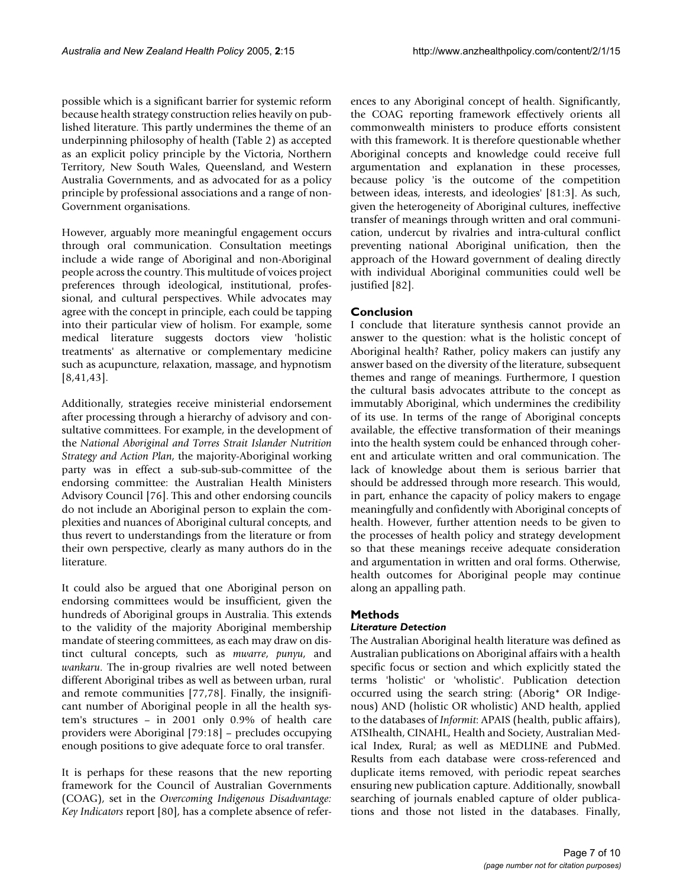possible which is a significant barrier for systemic reform because health strategy construction relies heavily on published literature. This partly undermines the theme of an underpinning philosophy of health (Table 2) as accepted as an explicit policy principle by the Victoria, Northern Territory, New South Wales, Queensland, and Western Australia Governments, and as advocated for as a policy principle by professional associations and a range of non-Government organisations.

However, arguably more meaningful engagement occurs through oral communication. Consultation meetings include a wide range of Aboriginal and non-Aboriginal people across the country. This multitude of voices project preferences through ideological, institutional, professional, and cultural perspectives. While advocates may agree with the concept in principle, each could be tapping into their particular view of holism. For example, some medical literature suggests doctors view 'holistic treatments' as alternative or complementary medicine such as acupuncture, relaxation, massage, and hypnotism [8,41,43].

Additionally, strategies receive ministerial endorsement after processing through a hierarchy of advisory and consultative committees. For example, in the development of the *National Aboriginal and Torres Strait Islander Nutrition Strategy and Action Plan*, the majority-Aboriginal working party was in effect a sub-sub-sub-committee of the endorsing committee: the Australian Health Ministers Advisory Council [76]. This and other endorsing councils do not include an Aboriginal person to explain the complexities and nuances of Aboriginal cultural concepts, and thus revert to understandings from the literature or from their own perspective, clearly as many authors do in the literature.

It could also be argued that one Aboriginal person on endorsing committees would be insufficient, given the hundreds of Aboriginal groups in Australia. This extends to the validity of the majority Aboriginal membership mandate of steering committees, as each may draw on distinct cultural concepts, such as *mwarre*, *punyu*, and *wankaru*. The in-group rivalries are well noted between different Aboriginal tribes as well as between urban, rural and remote communities [77,78]. Finally, the insignificant number of Aboriginal people in all the health system's structures – in 2001 only 0.9% of health care providers were Aboriginal [79:18] – precludes occupying enough positions to give adequate force to oral transfer.

It is perhaps for these reasons that the new reporting framework for the Council of Australian Governments (COAG), set in the *Overcoming Indigenous Disadvantage: Key Indicators* report [80], has a complete absence of references to any Aboriginal concept of health. Significantly, the COAG reporting framework effectively orients all commonwealth ministers to produce efforts consistent with this framework. It is therefore questionable whether Aboriginal concepts and knowledge could receive full argumentation and explanation in these processes, because policy 'is the outcome of the competition between ideas, interests, and ideologies' [81:3]. As such, given the heterogeneity of Aboriginal cultures, ineffective transfer of meanings through written and oral communication, undercut by rivalries and intra-cultural conflict preventing national Aboriginal unification, then the approach of the Howard government of dealing directly with individual Aboriginal communities could well be justified [82].

# **Conclusion**

I conclude that literature synthesis cannot provide an answer to the question: what is the holistic concept of Aboriginal health? Rather, policy makers can justify any answer based on the diversity of the literature, subsequent themes and range of meanings. Furthermore, I question the cultural basis advocates attribute to the concept as immutably Aboriginal, which undermines the credibility of its use. In terms of the range of Aboriginal concepts available, the effective transformation of their meanings into the health system could be enhanced through coherent and articulate written and oral communication. The lack of knowledge about them is serious barrier that should be addressed through more research. This would, in part, enhance the capacity of policy makers to engage meaningfully and confidently with Aboriginal concepts of health. However, further attention needs to be given to the processes of health policy and strategy development so that these meanings receive adequate consideration and argumentation in written and oral forms. Otherwise, health outcomes for Aboriginal people may continue along an appalling path.

# **Methods**

# *Literature Detection*

The Australian Aboriginal health literature was defined as Australian publications on Aboriginal affairs with a health specific focus or section and which explicitly stated the terms 'holistic' or 'wholistic'. Publication detection occurred using the search string: (Aborig\* OR Indigenous) AND (holistic OR wholistic) AND health, applied to the databases of *Informit*: APAIS (health, public affairs), ATSIhealth, CINAHL, Health and Society, Australian Medical Index, Rural; as well as MEDLINE and PubMed. Results from each database were cross-referenced and duplicate items removed, with periodic repeat searches ensuring new publication capture. Additionally, snowball searching of journals enabled capture of older publications and those not listed in the databases. Finally,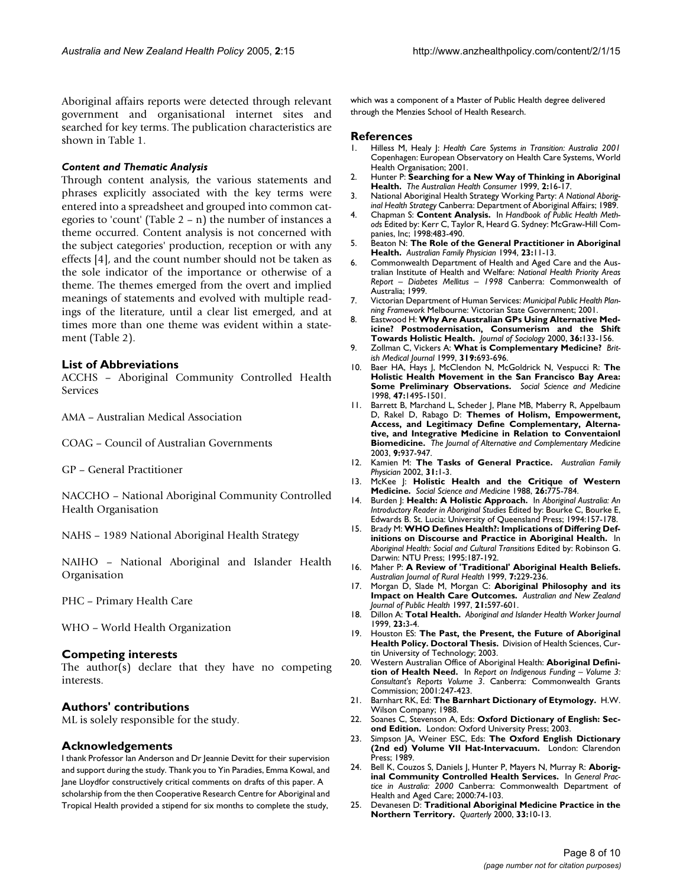Aboriginal affairs reports were detected through relevant government and organisational internet sites and searched for key terms. The publication characteristics are shown in Table 1.

#### *Content and Thematic Analysis*

Through content analysis, the various statements and phrases explicitly associated with the key terms were entered into a spreadsheet and grouped into common categories to 'count' (Table 2 – n) the number of instances a theme occurred. Content analysis is not concerned with the subject categories' production, reception or with any effects [4], and the count number should not be taken as the sole indicator of the importance or otherwise of a theme. The themes emerged from the overt and implied meanings of statements and evolved with multiple readings of the literature, until a clear list emerged, and at times more than one theme was evident within a statement (Table 2).

# **List of Abbreviations**

ACCHS – Aboriginal Community Controlled Health Services

AMA – Australian Medical Association

COAG – Council of Australian Governments

GP – General Practitioner

NACCHO – National Aboriginal Community Controlled Health Organisation

NAHS – 1989 National Aboriginal Health Strategy

NAIHO – National Aboriginal and Islander Health Organisation

PHC – Primary Health Care

WHO – World Health Organization

#### **Competing interests**

The author(s) declare that they have no competing interests.

#### **Authors' contributions**

ML is solely responsible for the study.

#### **Acknowledgements**

I thank Professor Ian Anderson and Dr Jeannie Devitt for their supervision and support during the study. Thank you to Yin Paradies, Emma Kowal, and Jane Lloydfor constructively critical comments on drafts of this paper. A scholarship from the then Cooperative Research Centre for Aboriginal and Tropical Health provided a stipend for six months to complete the study,

which was a component of a Master of Public Health degree delivered through the Menzies School of Health Research.

#### **References**

- 1. Hilless M, Healy J: *Health Care Systems in Transition: Australia 2001* Copenhagen: European Observatory on Health Care Systems, World Health Organisation; 2001.
- 2. Hunter P: **Searching for a New Way of Thinking in Aboriginal Health.** *The Australian Health Consumer* 1999, **2:**16-17.
- 3. National Aboriginal Health Strategy Working Party: *A National Aboriginal Health Strategy* Canberra: Department of Aboriginal Affairs; 1989.
- 4. Chapman S: **Content Analysis.** In *Handbook of Public Health Methods* Edited by: Kerr C, Taylor R, Heard G. Sydney: McGraw-Hill Companies, Inc; 1998:483-490.
- 5. Beaton N: **[The Role of the General Practitioner in Aboriginal](http://www.ncbi.nlm.nih.gov/entrez/query.fcgi?cmd=Retrieve&db=PubMed&dopt=Abstract&list_uids=8141678) [Health.](http://www.ncbi.nlm.nih.gov/entrez/query.fcgi?cmd=Retrieve&db=PubMed&dopt=Abstract&list_uids=8141678)** *Australian Family Physician* 1994, **23:**11-13.
- 6. Commonwealth Department of Health and Aged Care and the Australian Institute of Health and Welfare: *National Health Priority Areas Report – Diabetes Mellitus – 1998* Canberra: Commonwealth of Australia; 1999.
- 7. Victorian Department of Human Services: *Municipal Public Health Planning Framework* Melbourne: Victorian State Government; 2001.
- 8. Eastwood H: **Why Are Australian GPs Using Alternative Medicine? Postmodernisation, Consumerism and the Shift Towards Holistic Health.** *Journal of Sociology* 2000, **36:**133-156.
- 9. Zollman C, Vickers A: **[What is Complementary Medicine?](http://www.ncbi.nlm.nih.gov/entrez/query.fcgi?cmd=Retrieve&db=PubMed&dopt=Abstract&list_uids=10480829)** *British Medical Journal* 1999, **319:**693-696.
- 10. Baer HA, Hays J, McClendon N, McGoldrick N, Vespucci R: **The Holistic Health Movement in the San Francisco Bay Area: Some Preliminary Observations.** *Social Science and Medicine* 1998, **47:**1495-1501.
- 11. Barrett B, Marchand L, Scheder J, Plane MB, Maberry R, Appelbaum D, Rakel D, Rabago D: **Themes of Holism, Empowerment, Access, and Legitimacy Define Complementary, Alternative, and Integrative Medicine in Relation to Conventaionl Biomedicine.** *The Journal of Alternative and Complementary Medicine* 2003, **9:**937-947.
- 12. Kamien M: **The Tasks of General Practice.** *Australian Family Physician* 2002, **31:**1-3.
- 13. McKee J: **Holistic Health and the Critique of Western Medicine.** *Social Science and Medicine* 1988, **26:**775-784.
- 14. Burden J: **Health: A Holistic Approach.** In *Aboriginal Australia: An Introductory Reader in Aboriginal Studies* Edited by: Bourke C, Bourke E, Edwards B. St. Lucia: University of Queensland Press; 1994:157-178.
- 15. Brady M: **WHO Defines Health?: Implications of Differing Definitions on Discourse and Practice in Aboriginal Health.** In *Aboriginal Health: Social and Cultural Transitions* Edited by: Robinson G. Darwin: NTU Press; 1995:187-192.
- 16. Maher P: **[A Review of 'Traditional' Aboriginal Health Beliefs.](http://www.ncbi.nlm.nih.gov/entrez/query.fcgi?cmd=Retrieve&db=PubMed&dopt=Abstract&list_uids=10732513)** *Australian Journal of Rural Health* 1999, **7:**229-236.
- 17. Morgan D, Slade M, Morgan C: **Aboriginal Philosophy and its Impact on Health Care Outcomes.** *Australian and New Zealand Journal of Public Health* 1997, **21:**597-601.
- 18. Dillon A: **Total Health.** *Aboriginal and Islander Health Worker Journal* 1999, **23:**3-4.
- 19. Houston ES: **The Past, the Present, the Future of Aboriginal Health Policy. Doctoral Thesis.** Division of Health Sciences, Curtin University of Technology; 2003.
- 20. Western Australian Office of Aboriginal Health: **Aboriginal Definition of Health Need.** In *Report on Indigenous Funding – Volume 3: Consultant's Reports Volume 3*. Canberra: Commonwealth Grants Commission; 2001:247-423.
- 21. Barnhart RK, Ed: **The Barnhart Dictionary of Etymology.** H.W. Wilson Company; 1988.
- 22. Soanes C, Stevenson A, Eds: **Oxford Dictionary of English: Second Edition.** London: Oxford University Press; 2003.
- 23. Simpson JA, Weiner ESC, Eds: **The Oxford English Dictionary (2nd ed) Volume VII Hat-Intervacuum.** London: Clarendon Press; 1989.
- 24. Bell K, Couzos S, Daniels J, Hunter P, Mayers N, Murray R: **Aboriginal Community Controlled Health Services.** In *General Practice in Australia: 2000* Canberra: Commonwealth Department of Health and Aged Care; 2000:74-103.
- 25. Devanesen D: **Traditional Aboriginal Medicine Practice in the Northern Territory.** *Quarterly* 2000, **33:**10-13.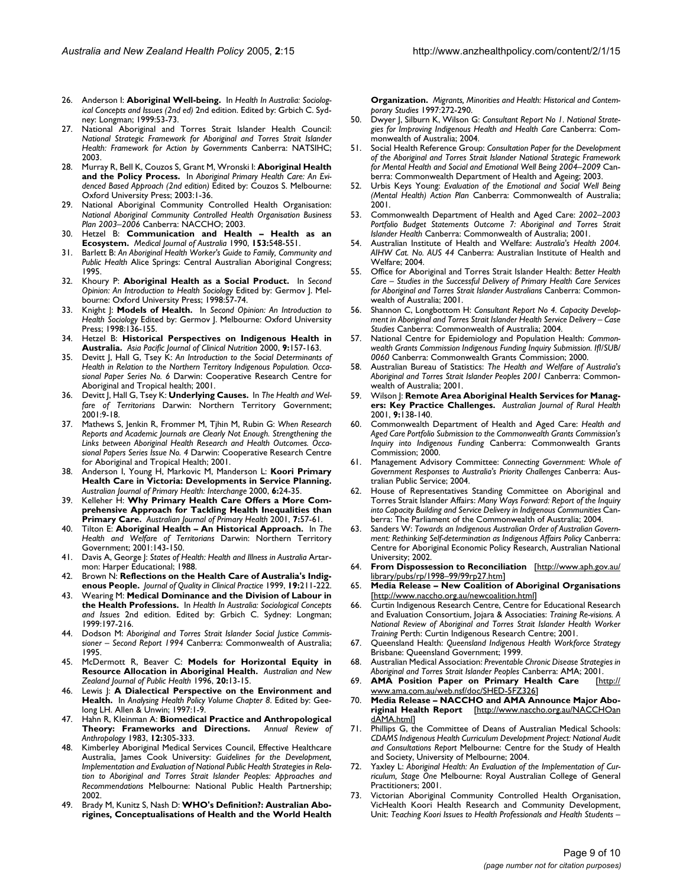- 26. Anderson I: **Aboriginal Well-being.** In *Health In Australia: Sociological Concepts and Issues (2nd ed)* 2nd edition. Edited by: Grbich C. Sydney: Longman; 1999:53-73.
- 27. National Aboriginal and Torres Strait Islander Health Council: *National Strategic Framework for Aboriginal and Torres Strait Islander Health: Framework for Action by Governments* Canberra: NATSIHC; 2003.
- 28. Murray R, Bell K, Couzos S, Grant M, Wronski I: **Aboriginal Health and the Policy Process.** In *Aboriginal Primary Health Care: An Evidenced Based Approach (2nd edition)* Edited by: Couzos S. Melbourne: Oxford University Press; 2003:1-36.
- 29. National Aboriginal Community Controlled Health Organisation: *National Aboriginal Community Controlled Health Organisation Business Plan 2003–2006* Canberra: NACCHO; 2003.
- 30. Hetzel B: **[Communication and Health Health as an](http://www.ncbi.nlm.nih.gov/entrez/query.fcgi?cmd=Retrieve&db=PubMed&dopt=Abstract&list_uids=2233479) [Ecosystem.](http://www.ncbi.nlm.nih.gov/entrez/query.fcgi?cmd=Retrieve&db=PubMed&dopt=Abstract&list_uids=2233479)** *Medical Journal of Australia* 1990, **153:**548-551.
- 31. Barlett B: *An Aboriginal Health Worker's Guide to Family, Community and Public Health* Alice Springs: Central Australian Aboriginal Congress; 1995.
- 32. Khoury P: **Aboriginal Health as a Social Product.** In *Second Opinion: An Introduction to Health Sociology* Edited by: Germov J. Melbourne: Oxford University Press; 1998:57-74.
- 33. Knight J: **Models of Health.** In *Second Opinion: An Introduction to Health Sociology* Edited by: Germov J. Melbourne: Oxford University Press; 1998:136-155.
- 34. Hetzel B: **Historical Perspectives on Indigenous Health in Australia.** *Asia Pacific Journal of Clinical Nutrition* 2000, **9:**157-163.
- 35. Devitt J, Hall G, Tsey K: *An Introduction to the Social Determinants of Health in Relation to the Northern Territory Indigenous Population. Occasional Paper Series No. 6* Darwin: Cooperative Research Centre for Aboriginal and Tropical health; 2001.
- 36. Devitt J, Hall G, Tsey K: **Underlying Causes.** In *The Health and Welfare of Territorians* Darwin: Northern Territory Government; 2001:9-18.
- 37. Mathews S, Jenkin R, Frommer M, Tjhin M, Rubin G: *When Research Reports and Academic Journals are Clearly Not Enough. Strengthening the Links between Aboriginal Health Research and Health Outcomes. Occasional Papers Series Issue No. 4* Darwin: Cooperative Research Centre for Aboriginal and Tropical Health; 2001.
- 38. Anderson I, Young H, Markovic M, Manderson L: **Koori Primary Health Care in Victoria: Developments in Service Planning.** *Australian Journal of Primary Health: Interchange* 2000, **6:**24-35.
- 39. Kelleher H: **Why Primary Health Care Offers a More Comprehensive Approach for Tackling Health Inequalities than Primary Care.** *Australian Journal of Primary Health* 2001, **7:**57-61.
- 40. Tilton E: **Aboriginal Health An Historical Approach.** In *The Health and Welfare of Territorians* Darwin: Northern Territory Government; 2001:143-150.
- 41. Davis A, George J: *States of Health: Health and Illness in Australia* Artarmon: Harper Educational; 1988.
- 42. Brown N: **[Reflections on the Health Care of Australia's Indig](http://www.ncbi.nlm.nih.gov/entrez/query.fcgi?cmd=Retrieve&db=PubMed&dopt=Abstract&list_uids=10619148)[enous People.](http://www.ncbi.nlm.nih.gov/entrez/query.fcgi?cmd=Retrieve&db=PubMed&dopt=Abstract&list_uids=10619148)** *Journal of Quality in Clinical Practice* 1999, **19:**211-222.
- 43. Wearing M: **Medical Dominance and the Division of Labour in the Health Professions.** In *Health In Australia: Sociological Concepts and Issues* 2nd edition. Edited by: Grbich C. Sydney: Longman; 1999:197-216.
- 44. Dodson M: *Aboriginal and Torres Strait Islander Social Justice Commissioner – Second Report 1994* Canberra: Commonwealth of Australia; 1995.
- 45. McDermott R, Beaver C: **Models for Horizontal Equity in Resource Allocation in Aboriginal Health.** *Australian and New Zealand Journal of Public Health* 1996, **20:**13-15.
- 46. Lewis J: **A Dialectical Perspective on the Environment and Health.** In *Analysing Health Policy Volume Chapter 8*. Edited by: Geelong LH. Allen & Unwin; 1997:1-9.
- 47. Hahn R, Kleinman A: **Biomedical Practice and Anthropological Theory: Frameworks and Directions.** *Annual Review of Anthropology* 1983, **12:**305-333.
- 48. Kimberley Aboriginal Medical Services Council, Effective Healthcare Australia, James Cook University: *Guidelines for the Development, Implementation and Evaluation of National Public Health Strategies in Relation to Aboriginal and Torres Strait Islander Peoples: Approaches and Recommendations* Melbourne: National Public Health Partnership; 2002.
- 49. Brady M, Kunitz S, Nash D: **WHO's Definition?: Australian Aborigines, Conceptualisations of Health and the World Health**

**Organization.** *Migrants, Minorities and Health: Historical and Contemporary Studies* 1997:272-290.

- 50. Dwyer J, Silburn K, Wilson G: *Consultant Report No 1. National Strategies for Improving Indigenous Health and Health Care* Canberra: Commonwealth of Australia; 2004.
- 51. Social Health Reference Group: *Consultation Paper for the Development of the Aboriginal and Torres Strait Islander National Strategic Framework for Mental Health and Social and Emotional Well Being 2004–2009* Canberra: Commonwealth Department of Health and Ageing; 2003.
- 52. Urbis Keys Young: *Evaluation of the Emotional and Social Well Being (Mental Health) Action Plan* Canberra: Commonwealth of Australia; 2001.
- 53. Commonwealth Department of Health and Aged Care: *2002–2003 Portfolio Budget Statements Outcome 7: Aboriginal and Torres Strait Islander Health* Canberra: Commonwealth of Australia; 2001.
- 54. Australian Institute of Health and Welfare: *Australia's Health 2004. AIHW Cat. No. AUS 44* Canberra: Australian Institute of Health and Welfare; 2004.
- 55. Office for Aboriginal and Torres Strait Islander Health: *Better Health Care – Studies in the Successful Delivery of Primary Health Care Services for Aboriginal and Torres Strait Islander Australians* Canberra: Commonwealth of Australia; 2001.
- 56. Shannon C, Longbottom H: *Consultant Report No 4. Capacity Development in Aboriginal and Torres Strait Islander Health Service Delivery – Case Studies* Canberra: Commonwealth of Australia; 2004.
- 57. National Centre for Epidemiology and Population Health: *Commonwealth Grants Commission Indigenous Funding Inquiry Submission. IfI/SUB/ 0060* Canberra: Commonwealth Grants Commission; 2000.
- 58. Australian Bureau of Statistics: *The Health and Welfare of Australia's Aboriginal and Torres Strait Islander Peoples 2001* Canberra: Commonwealth of Australia; 2001.
- 59. Wilson J: **[Remote Area Aboriginal Health Services for Manag](http://www.ncbi.nlm.nih.gov/entrez/query.fcgi?cmd=Retrieve&db=PubMed&dopt=Abstract&list_uids=11421966)[ers: Key Practice Challenges.](http://www.ncbi.nlm.nih.gov/entrez/query.fcgi?cmd=Retrieve&db=PubMed&dopt=Abstract&list_uids=11421966)** *Australian Journal of Rural Health* 2001, **9:**138-140.
- 60. Commonwealth Department of Health and Aged Care: *Health and Aged Care Portfolio Submission to the Commonwealth Grants Commission's Inquiry into Indigenous Funding* Canberra: Commonwealth Grants Commission; 2000.
- 61. Management Advisory Committee: *Connecting Government: Whole of Government Responses to Australia's Priority Challenges* Canberra: Australian Public Service; 2004.
- 62. House of Representatives Standing Committee on Aboriginal and Torres Strait Islander Affairs: *Many Ways Forward: Report of the Inquiry into Capacity Building and Service Delivery in Indigenous Communities* Canberra: The Parliament of the Commonwealth of Australia; 2004.
- Sanders W: Towards an Indigenous Australian Order of Australian Govern*ment: Rethinking Self-determination as Indigenous Affairs Policy* Canberra: Centre for Aboriginal Economic Policy Research, Australian National University; 2002.
- 64. **From Dispossession to Reconciliation** [[http://www.aph.gov.au/](http://www.aph.gov.au/library/pubs/rp/1998�99/99rp27.htm) [library/pubs/rp/1998–99/99rp27.htm\]](http://www.aph.gov.au/library/pubs/rp/1998�99/99rp27.htm)
- 65. **Media Release New Coalition of Aboriginal Organisations** [[http://www.naccho.org.au/newcoalition.html\]](http://www.naccho.org.au/newcoalition.html)
- 66. Curtin Indigenous Research Centre, Centre for Educational Research and Evaluation Consortium, Jojara & Associaties: *Training Re-visions. A National Review of Aboriginal and Torres Strait Islander Health Worker Training* Perth: Curtin Indigenous Research Centre; 2001.
- 67. Queensland Health: *Queensland Indigenous Health Workforce Strategy* Brisbane: Queensland Government; 1999.
- 68. Australian Medical Association: *Preventable Chronic Disease Strategies in Aboriginal and Torres Strait Islander Peoples* Canberra: AMA; 2001.
- 69. **AMA Position Paper on Primary Health Care** [\[http://](http://www.ama.com.au/web.nsf/doc/SHED-5FZ326) [www.ama.com.au/web.nsf/doc/SHED-5FZ326](http://www.ama.com.au/web.nsf/doc/SHED-5FZ326)]
- 70. **Media Release NACCHO and AMA Announce Major Aboriginal Health Report** [[http://www.naccho.org.au/NACCHOan](http://www.naccho.org.au/NACCHOandAMA.html) [dAMA.html](http://www.naccho.org.au/NACCHOandAMA.html)]
- 71. Phillips G, the Committee of Deans of Australian Medical Schools: *CDAMS Indigenous Health Curriculum Development Project: National Audit and Consultations Report* Melbourne: Centre for the Study of Health and Society, University of Melbourne; 2004.
- 72. Yaxley L: *Aboriginal Health: An Evaluation of the Implementation of Curriculum, Stage One* Melbourne: Royal Australian College of General Practitioners; 2001.
- Victorian Aboriginal Community Controlled Health Organisation, VicHealth Koori Health Research and Community Development, Unit: *Teaching Koori Issues to Health Professionals and Health Students –*